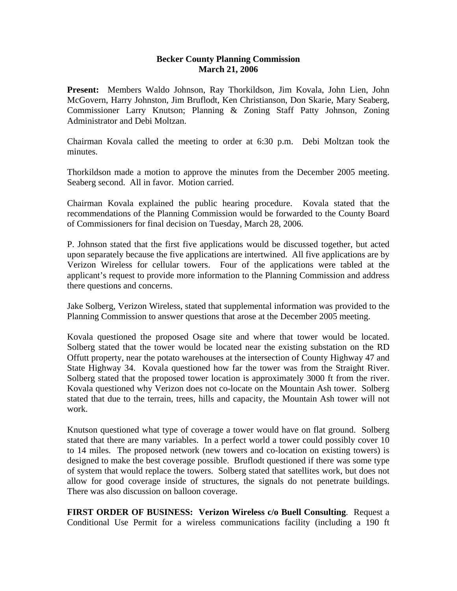## **Becker County Planning Commission March 21, 2006**

**Present:** Members Waldo Johnson, Ray Thorkildson, Jim Kovala, John Lien, John McGovern, Harry Johnston, Jim Bruflodt, Ken Christianson, Don Skarie, Mary Seaberg, Commissioner Larry Knutson; Planning & Zoning Staff Patty Johnson, Zoning Administrator and Debi Moltzan.

Chairman Kovala called the meeting to order at 6:30 p.m. Debi Moltzan took the minutes.

Thorkildson made a motion to approve the minutes from the December 2005 meeting. Seaberg second. All in favor. Motion carried.

Chairman Kovala explained the public hearing procedure. Kovala stated that the recommendations of the Planning Commission would be forwarded to the County Board of Commissioners for final decision on Tuesday, March 28, 2006.

P. Johnson stated that the first five applications would be discussed together, but acted upon separately because the five applications are intertwined. All five applications are by Verizon Wireless for cellular towers. Four of the applications were tabled at the applicant's request to provide more information to the Planning Commission and address there questions and concerns.

Jake Solberg, Verizon Wireless, stated that supplemental information was provided to the Planning Commission to answer questions that arose at the December 2005 meeting.

Kovala questioned the proposed Osage site and where that tower would be located. Solberg stated that the tower would be located near the existing substation on the RD Offutt property, near the potato warehouses at the intersection of County Highway 47 and State Highway 34. Kovala questioned how far the tower was from the Straight River. Solberg stated that the proposed tower location is approximately 3000 ft from the river. Kovala questioned why Verizon does not co-locate on the Mountain Ash tower. Solberg stated that due to the terrain, trees, hills and capacity, the Mountain Ash tower will not work.

Knutson questioned what type of coverage a tower would have on flat ground. Solberg stated that there are many variables. In a perfect world a tower could possibly cover 10 to 14 miles. The proposed network (new towers and co-location on existing towers) is designed to make the best coverage possible. Bruflodt questioned if there was some type of system that would replace the towers. Solberg stated that satellites work, but does not allow for good coverage inside of structures, the signals do not penetrate buildings. There was also discussion on balloon coverage.

**FIRST ORDER OF BUSINESS: Verizon Wireless c/o Buell Consulting**. Request a Conditional Use Permit for a wireless communications facility (including a 190 ft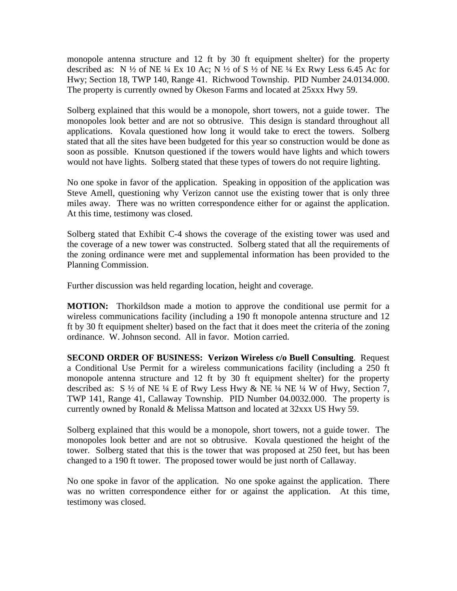monopole antenna structure and 12 ft by 30 ft equipment shelter) for the property described as: N  $\frac{1}{2}$  of NE  $\frac{1}{4}$  Ex 10 Ac; N  $\frac{1}{2}$  of S  $\frac{1}{2}$  of NE  $\frac{1}{4}$  Ex Rwy Less 6.45 Ac for Hwy; Section 18, TWP 140, Range 41. Richwood Township. PID Number 24.0134.000. The property is currently owned by Okeson Farms and located at 25xxx Hwy 59.

Solberg explained that this would be a monopole, short towers, not a guide tower. The monopoles look better and are not so obtrusive. This design is standard throughout all applications. Kovala questioned how long it would take to erect the towers. Solberg stated that all the sites have been budgeted for this year so construction would be done as soon as possible. Knutson questioned if the towers would have lights and which towers would not have lights. Solberg stated that these types of towers do not require lighting.

No one spoke in favor of the application. Speaking in opposition of the application was Steve Amell, questioning why Verizon cannot use the existing tower that is only three miles away. There was no written correspondence either for or against the application. At this time, testimony was closed.

Solberg stated that Exhibit C-4 shows the coverage of the existing tower was used and the coverage of a new tower was constructed. Solberg stated that all the requirements of the zoning ordinance were met and supplemental information has been provided to the Planning Commission.

Further discussion was held regarding location, height and coverage.

**MOTION:** Thorkildson made a motion to approve the conditional use permit for a wireless communications facility (including a 190 ft monopole antenna structure and 12 ft by 30 ft equipment shelter) based on the fact that it does meet the criteria of the zoning ordinance. W. Johnson second. All in favor. Motion carried.

**SECOND ORDER OF BUSINESS: Verizon Wireless c/o Buell Consulting**. Request a Conditional Use Permit for a wireless communications facility (including a 250 ft monopole antenna structure and 12 ft by 30 ft equipment shelter) for the property described as:  $S \frac{1}{2}$  of NE  $\frac{1}{4}$  E of Rwy Less Hwy & NE  $\frac{1}{4}$  NE  $\frac{1}{4}$  W of Hwy, Section 7, TWP 141, Range 41, Callaway Township. PID Number 04.0032.000. The property is currently owned by Ronald & Melissa Mattson and located at 32xxx US Hwy 59.

Solberg explained that this would be a monopole, short towers, not a guide tower. The monopoles look better and are not so obtrusive. Kovala questioned the height of the tower. Solberg stated that this is the tower that was proposed at 250 feet, but has been changed to a 190 ft tower. The proposed tower would be just north of Callaway.

No one spoke in favor of the application. No one spoke against the application. There was no written correspondence either for or against the application. At this time, testimony was closed.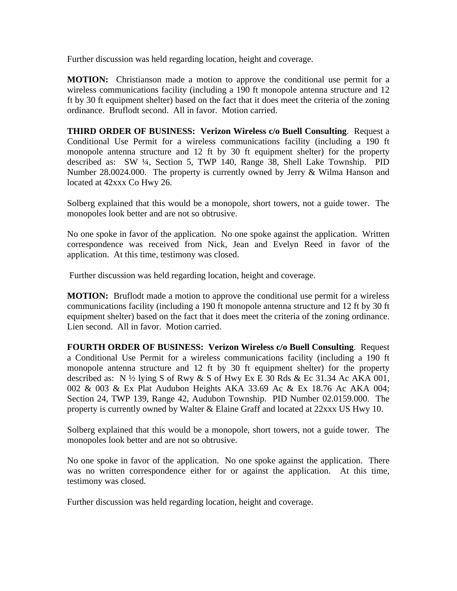Further discussion was held regarding location, height and coverage.

**MOTION:** Christianson made a motion to approve the conditional use permit for a wireless communications facility (including a 190 ft monopole antenna structure and 12 ft by 30 ft equipment shelter) based on the fact that it does meet the criteria of the zoning ordinance. Bruflodt second. All in favor. Motion carried.

**THIRD ORDER OF BUSINESS: Verizon Wireless c/o Buell Consulting**. Request a Conditional Use Permit for a wireless communications facility (including a 190 ft monopole antenna structure and 12 ft by 30 ft equipment shelter) for the property described as: SW ¼, Section 5, TWP 140, Range 38, Shell Lake Township. PID Number 28.0024.000. The property is currently owned by Jerry & Wilma Hanson and located at 42xxx Co Hwy 26.

Solberg explained that this would be a monopole, short towers, not a guide tower. The monopoles look better and are not so obtrusive.

No one spoke in favor of the application. No one spoke against the application. Written correspondence was received from Nick, Jean and Evelyn Reed in favor of the application. At this time, testimony was closed.

Further discussion was held regarding location, height and coverage.

**MOTION:** Bruflodt made a motion to approve the conditional use permit for a wireless communications facility (including a 190 ft monopole antenna structure and 12 ft by 30 ft equipment shelter) based on the fact that it does meet the criteria of the zoning ordinance. Lien second. All in favor. Motion carried.

**FOURTH ORDER OF BUSINESS: Verizon Wireless c/o Buell Consulting**. Request a Conditional Use Permit for a wireless communications facility (including a 190 ft monopole antenna structure and 12 ft by 30 ft equipment shelter) for the property described as:  $N \frac{1}{2}$  lying S of Rwy & S of Hwy Ex E 30 Rds & Ec 31.34 Ac AKA 001, 002 & 003 & Ex Plat Audubon Heights AKA 33.69 Ac & Ex 18.76 Ac AKA 004; Section 24, TWP 139, Range 42, Audubon Township. PID Number 02.0159.000. The property is currently owned by Walter & Elaine Graff and located at 22xxx US Hwy 10.

Solberg explained that this would be a monopole, short towers, not a guide tower. The monopoles look better and are not so obtrusive.

No one spoke in favor of the application. No one spoke against the application. There was no written correspondence either for or against the application. At this time, testimony was closed.

Further discussion was held regarding location, height and coverage.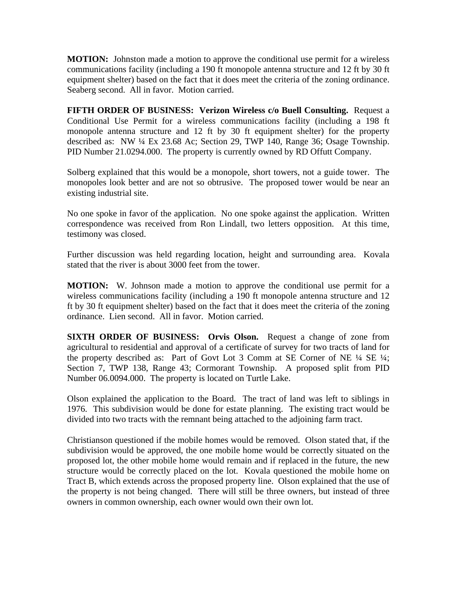**MOTION:** Johnston made a motion to approve the conditional use permit for a wireless communications facility (including a 190 ft monopole antenna structure and 12 ft by 30 ft equipment shelter) based on the fact that it does meet the criteria of the zoning ordinance. Seaberg second. All in favor. Motion carried.

**FIFTH ORDER OF BUSINESS: Verizon Wireless c/o Buell Consulting.** Request a Conditional Use Permit for a wireless communications facility (including a 198 ft monopole antenna structure and 12 ft by 30 ft equipment shelter) for the property described as: NW ¼ Ex 23.68 Ac; Section 29, TWP 140, Range 36; Osage Township. PID Number 21.0294.000. The property is currently owned by RD Offutt Company.

Solberg explained that this would be a monopole, short towers, not a guide tower. The monopoles look better and are not so obtrusive. The proposed tower would be near an existing industrial site.

No one spoke in favor of the application. No one spoke against the application. Written correspondence was received from Ron Lindall, two letters opposition. At this time, testimony was closed.

Further discussion was held regarding location, height and surrounding area. Kovala stated that the river is about 3000 feet from the tower.

**MOTION:** W. Johnson made a motion to approve the conditional use permit for a wireless communications facility (including a 190 ft monopole antenna structure and 12 ft by 30 ft equipment shelter) based on the fact that it does meet the criteria of the zoning ordinance. Lien second. All in favor. Motion carried.

**SIXTH ORDER OF BUSINESS: Orvis Olson.** Request a change of zone from agricultural to residential and approval of a certificate of survey for two tracts of land for the property described as: Part of Govt Lot 3 Comm at SE Corner of NE ¼ SE ¼; Section 7, TWP 138, Range 43; Cormorant Township. A proposed split from PID Number 06.0094.000. The property is located on Turtle Lake.

Olson explained the application to the Board. The tract of land was left to siblings in 1976. This subdivision would be done for estate planning. The existing tract would be divided into two tracts with the remnant being attached to the adjoining farm tract.

Christianson questioned if the mobile homes would be removed. Olson stated that, if the subdivision would be approved, the one mobile home would be correctly situated on the proposed lot, the other mobile home would remain and if replaced in the future, the new structure would be correctly placed on the lot. Kovala questioned the mobile home on Tract B, which extends across the proposed property line. Olson explained that the use of the property is not being changed. There will still be three owners, but instead of three owners in common ownership, each owner would own their own lot.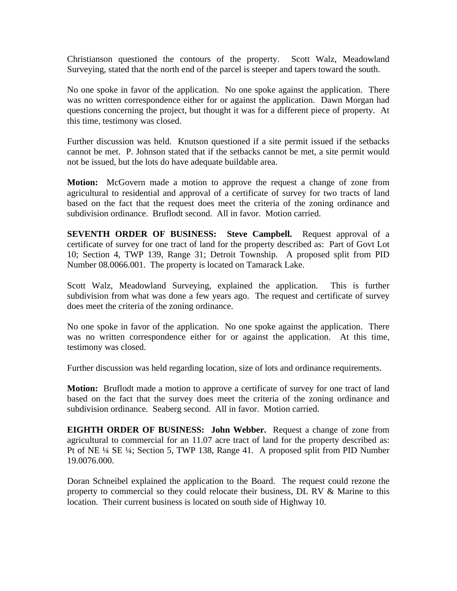Christianson questioned the contours of the property. Scott Walz, Meadowland Surveying, stated that the north end of the parcel is steeper and tapers toward the south.

No one spoke in favor of the application. No one spoke against the application. There was no written correspondence either for or against the application. Dawn Morgan had questions concerning the project, but thought it was for a different piece of property. At this time, testimony was closed.

Further discussion was held. Knutson questioned if a site permit issued if the setbacks cannot be met. P. Johnson stated that if the setbacks cannot be met, a site permit would not be issued, but the lots do have adequate buildable area.

**Motion:** McGovern made a motion to approve the request a change of zone from agricultural to residential and approval of a certificate of survey for two tracts of land based on the fact that the request does meet the criteria of the zoning ordinance and subdivision ordinance. Bruflodt second. All in favor. Motion carried.

**SEVENTH ORDER OF BUSINESS: Steve Campbell.** Request approval of a certificate of survey for one tract of land for the property described as: Part of Govt Lot 10; Section 4, TWP 139, Range 31; Detroit Township. A proposed split from PID Number 08.0066.001. The property is located on Tamarack Lake.

Scott Walz, Meadowland Surveying, explained the application. This is further subdivision from what was done a few years ago. The request and certificate of survey does meet the criteria of the zoning ordinance.

No one spoke in favor of the application. No one spoke against the application. There was no written correspondence either for or against the application. At this time, testimony was closed.

Further discussion was held regarding location, size of lots and ordinance requirements.

**Motion:** Bruflodt made a motion to approve a certificate of survey for one tract of land based on the fact that the survey does meet the criteria of the zoning ordinance and subdivision ordinance. Seaberg second. All in favor. Motion carried.

**EIGHTH ORDER OF BUSINESS: John Webber.** Request a change of zone from agricultural to commercial for an 11.07 acre tract of land for the property described as: Pt of NE ¼ SE ¼; Section 5, TWP 138, Range 41. A proposed split from PID Number 19.0076.000.

Doran Schneibel explained the application to the Board. The request could rezone the property to commercial so they could relocate their business, DL RV & Marine to this location. Their current business is located on south side of Highway 10.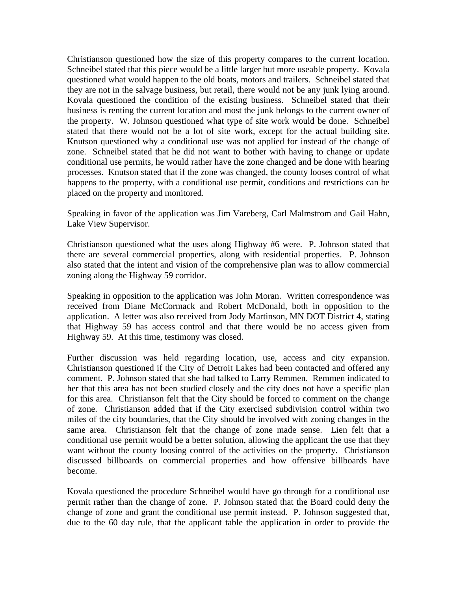Christianson questioned how the size of this property compares to the current location. Schneibel stated that this piece would be a little larger but more useable property. Kovala questioned what would happen to the old boats, motors and trailers. Schneibel stated that they are not in the salvage business, but retail, there would not be any junk lying around. Kovala questioned the condition of the existing business. Schneibel stated that their business is renting the current location and most the junk belongs to the current owner of the property. W. Johnson questioned what type of site work would be done. Schneibel stated that there would not be a lot of site work, except for the actual building site. Knutson questioned why a conditional use was not applied for instead of the change of zone. Schneibel stated that he did not want to bother with having to change or update conditional use permits, he would rather have the zone changed and be done with hearing processes. Knutson stated that if the zone was changed, the county looses control of what happens to the property, with a conditional use permit, conditions and restrictions can be placed on the property and monitored.

Speaking in favor of the application was Jim Vareberg, Carl Malmstrom and Gail Hahn, Lake View Supervisor.

Christianson questioned what the uses along Highway #6 were. P. Johnson stated that there are several commercial properties, along with residential properties. P. Johnson also stated that the intent and vision of the comprehensive plan was to allow commercial zoning along the Highway 59 corridor.

Speaking in opposition to the application was John Moran. Written correspondence was received from Diane McCormack and Robert McDonald, both in opposition to the application. A letter was also received from Jody Martinson, MN DOT District 4, stating that Highway 59 has access control and that there would be no access given from Highway 59. At this time, testimony was closed.

Further discussion was held regarding location, use, access and city expansion. Christianson questioned if the City of Detroit Lakes had been contacted and offered any comment. P. Johnson stated that she had talked to Larry Remmen. Remmen indicated to her that this area has not been studied closely and the city does not have a specific plan for this area. Christianson felt that the City should be forced to comment on the change of zone. Christianson added that if the City exercised subdivision control within two miles of the city boundaries, that the City should be involved with zoning changes in the same area. Christianson felt that the change of zone made sense. Lien felt that a conditional use permit would be a better solution, allowing the applicant the use that they want without the county loosing control of the activities on the property. Christianson discussed billboards on commercial properties and how offensive billboards have become.

Kovala questioned the procedure Schneibel would have go through for a conditional use permit rather than the change of zone. P. Johnson stated that the Board could deny the change of zone and grant the conditional use permit instead. P. Johnson suggested that, due to the 60 day rule, that the applicant table the application in order to provide the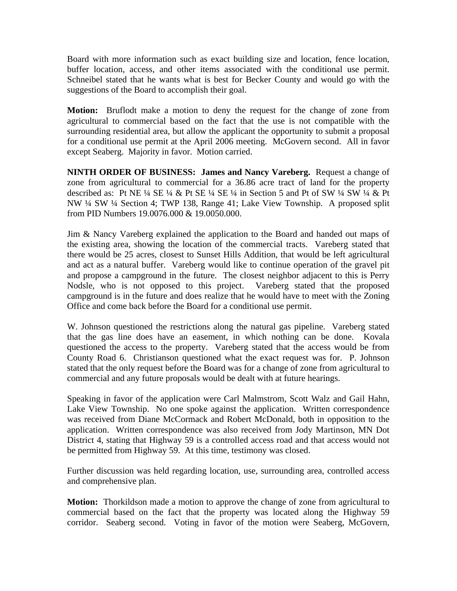Board with more information such as exact building size and location, fence location, buffer location, access, and other items associated with the conditional use permit. Schneibel stated that he wants what is best for Becker County and would go with the suggestions of the Board to accomplish their goal.

**Motion:** Bruflodt make a motion to deny the request for the change of zone from agricultural to commercial based on the fact that the use is not compatible with the surrounding residential area, but allow the applicant the opportunity to submit a proposal for a conditional use permit at the April 2006 meeting. McGovern second. All in favor except Seaberg. Majority in favor. Motion carried.

**NINTH ORDER OF BUSINESS: James and Nancy Vareberg.** Request a change of zone from agricultural to commercial for a 36.86 acre tract of land for the property described as: Pt NE ¼ SE ¼ & Pt SE ¼ SE ¼ in Section 5 and Pt of SW ¼ SW ¼ & Pt NW ¼ SW ¼ Section 4; TWP 138, Range 41; Lake View Township. A proposed split from PID Numbers 19.0076.000 & 19.0050.000.

Jim & Nancy Vareberg explained the application to the Board and handed out maps of the existing area, showing the location of the commercial tracts. Vareberg stated that there would be 25 acres, closest to Sunset Hills Addition, that would be left agricultural and act as a natural buffer. Vareberg would like to continue operation of the gravel pit and propose a campground in the future. The closest neighbor adjacent to this is Perry Nodsle, who is not opposed to this project. Vareberg stated that the proposed campground is in the future and does realize that he would have to meet with the Zoning Office and come back before the Board for a conditional use permit.

W. Johnson questioned the restrictions along the natural gas pipeline. Vareberg stated that the gas line does have an easement, in which nothing can be done. Kovala questioned the access to the property. Vareberg stated that the access would be from County Road 6. Christianson questioned what the exact request was for. P. Johnson stated that the only request before the Board was for a change of zone from agricultural to commercial and any future proposals would be dealt with at future hearings.

Speaking in favor of the application were Carl Malmstrom, Scott Walz and Gail Hahn, Lake View Township. No one spoke against the application. Written correspondence was received from Diane McCormack and Robert McDonald, both in opposition to the application. Written correspondence was also received from Jody Martinson, MN Dot District 4, stating that Highway 59 is a controlled access road and that access would not be permitted from Highway 59. At this time, testimony was closed.

Further discussion was held regarding location, use, surrounding area, controlled access and comprehensive plan.

**Motion:** Thorkildson made a motion to approve the change of zone from agricultural to commercial based on the fact that the property was located along the Highway 59 corridor. Seaberg second. Voting in favor of the motion were Seaberg, McGovern,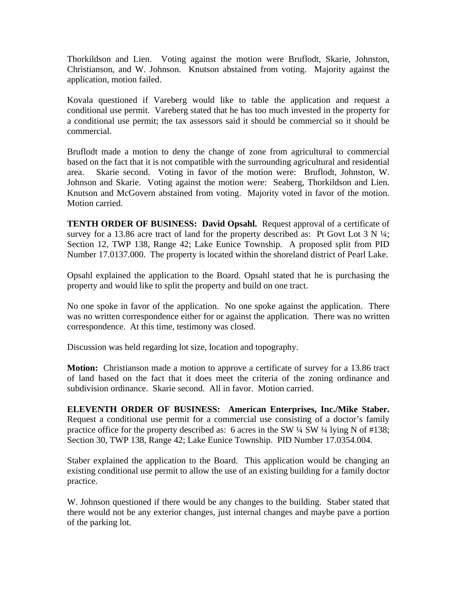Thorkildson and Lien. Voting against the motion were Bruflodt, Skarie, Johnston, Christianson, and W. Johnson. Knutson abstained from voting. Majority against the application, motion failed.

Kovala questioned if Vareberg would like to table the application and request a conditional use permit. Vareberg stated that he has too much invested in the property for a conditional use permit; the tax assessors said it should be commercial so it should be commercial.

Bruflodt made a motion to deny the change of zone from agricultural to commercial based on the fact that it is not compatible with the surrounding agricultural and residential area. Skarie second. Voting in favor of the motion were: Bruflodt, Johnston, W. Johnson and Skarie. Voting against the motion were: Seaberg, Thorkildson and Lien. Knutson and McGovern abstained from voting. Majority voted in favor of the motion. Motion carried.

**TENTH ORDER OF BUSINESS: David Opsahl.** Request approval of a certificate of survey for a 13.86 acre tract of land for the property described as: Pt Govt Lot  $3 N \frac{1}{4}$ ; Section 12, TWP 138, Range 42; Lake Eunice Township. A proposed split from PID Number 17.0137.000. The property is located within the shoreland district of Pearl Lake.

Opsahl explained the application to the Board. Opsahl stated that he is purchasing the property and would like to split the property and build on one tract.

No one spoke in favor of the application. No one spoke against the application. There was no written correspondence either for or against the application. There was no written correspondence. At this time, testimony was closed.

Discussion was held regarding lot size, location and topography.

**Motion:** Christianson made a motion to approve a certificate of survey for a 13.86 tract of land based on the fact that it does meet the criteria of the zoning ordinance and subdivision ordinance. Skarie second. All in favor. Motion carried.

**ELEVENTH ORDER OF BUSINESS: American Enterprises, Inc./Mike Staber.** Request a conditional use permit for a commercial use consisting of a doctor's family practice office for the property described as: 6 acres in the SW ¼ SW ¼ lying N of #138; Section 30, TWP 138, Range 42; Lake Eunice Township. PID Number 17.0354.004.

Staber explained the application to the Board. This application would be changing an existing conditional use permit to allow the use of an existing building for a family doctor practice.

W. Johnson questioned if there would be any changes to the building. Staber stated that there would not be any exterior changes, just internal changes and maybe pave a portion of the parking lot.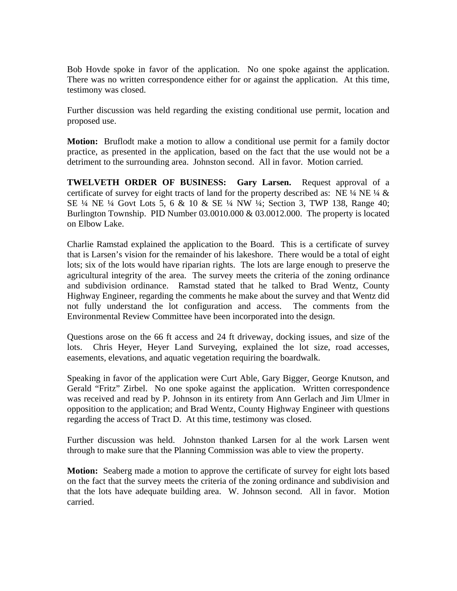Bob Hovde spoke in favor of the application. No one spoke against the application. There was no written correspondence either for or against the application. At this time, testimony was closed.

Further discussion was held regarding the existing conditional use permit, location and proposed use.

**Motion:** Bruflodt make a motion to allow a conditional use permit for a family doctor practice, as presented in the application, based on the fact that the use would not be a detriment to the surrounding area. Johnston second. All in favor. Motion carried.

**TWELVETH ORDER OF BUSINESS: Gary Larsen.** Request approval of a certificate of survey for eight tracts of land for the property described as: NE  $\frac{1}{4}$  NE  $\frac{1}{4}$  & SE ¼ NE ¼ Govt Lots 5, 6 & 10 & SE ¼ NW ¼; Section 3, TWP 138, Range 40; Burlington Township. PID Number 03.0010.000 & 03.0012.000. The property is located on Elbow Lake.

Charlie Ramstad explained the application to the Board. This is a certificate of survey that is Larsen's vision for the remainder of his lakeshore. There would be a total of eight lots; six of the lots would have riparian rights. The lots are large enough to preserve the agricultural integrity of the area. The survey meets the criteria of the zoning ordinance and subdivision ordinance. Ramstad stated that he talked to Brad Wentz, County Highway Engineer, regarding the comments he make about the survey and that Wentz did not fully understand the lot configuration and access. The comments from the Environmental Review Committee have been incorporated into the design.

Questions arose on the 66 ft access and 24 ft driveway, docking issues, and size of the lots. Chris Heyer, Heyer Land Surveying, explained the lot size, road accesses, easements, elevations, and aquatic vegetation requiring the boardwalk.

Speaking in favor of the application were Curt Able, Gary Bigger, George Knutson, and Gerald "Fritz" Zirbel. No one spoke against the application. Written correspondence was received and read by P. Johnson in its entirety from Ann Gerlach and Jim Ulmer in opposition to the application; and Brad Wentz, County Highway Engineer with questions regarding the access of Tract D. At this time, testimony was closed.

Further discussion was held. Johnston thanked Larsen for al the work Larsen went through to make sure that the Planning Commission was able to view the property.

**Motion:** Seaberg made a motion to approve the certificate of survey for eight lots based on the fact that the survey meets the criteria of the zoning ordinance and subdivision and that the lots have adequate building area. W. Johnson second. All in favor. Motion carried.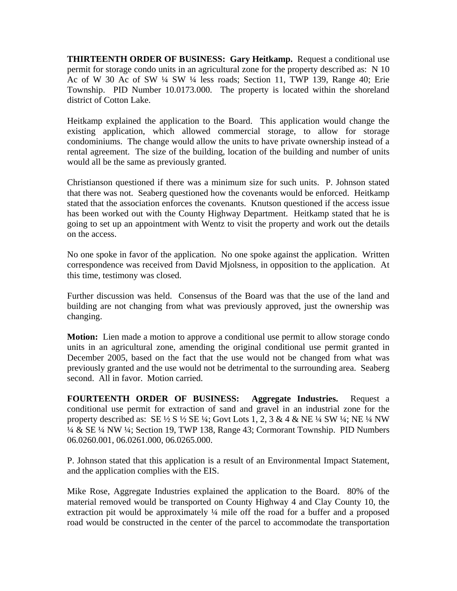**THIRTEENTH ORDER OF BUSINESS: Gary Heitkamp.** Request a conditional use permit for storage condo units in an agricultural zone for the property described as: N 10 Ac of W 30 Ac of SW ¼ SW ¼ less roads; Section 11, TWP 139, Range 40; Erie Township. PID Number 10.0173.000. The property is located within the shoreland district of Cotton Lake.

Heitkamp explained the application to the Board. This application would change the existing application, which allowed commercial storage, to allow for storage condominiums. The change would allow the units to have private ownership instead of a rental agreement. The size of the building, location of the building and number of units would all be the same as previously granted.

Christianson questioned if there was a minimum size for such units. P. Johnson stated that there was not. Seaberg questioned how the covenants would be enforced. Heitkamp stated that the association enforces the covenants. Knutson questioned if the access issue has been worked out with the County Highway Department. Heitkamp stated that he is going to set up an appointment with Wentz to visit the property and work out the details on the access.

No one spoke in favor of the application. No one spoke against the application. Written correspondence was received from David Mjolsness, in opposition to the application. At this time, testimony was closed.

Further discussion was held. Consensus of the Board was that the use of the land and building are not changing from what was previously approved, just the ownership was changing.

**Motion:** Lien made a motion to approve a conditional use permit to allow storage condo units in an agricultural zone, amending the original conditional use permit granted in December 2005, based on the fact that the use would not be changed from what was previously granted and the use would not be detrimental to the surrounding area. Seaberg second. All in favor. Motion carried.

**FOURTEENTH ORDER OF BUSINESS: Aggregate Industries.** Request a conditional use permit for extraction of sand and gravel in an industrial zone for the property described as:  $SE \frac{1}{2} S \frac{1}{2} SE \frac{1}{4}$ ; Govt Lots 1, 2, 3 & 4 & NE  $\frac{1}{4} SW \frac{1}{4}$ ; NE  $\frac{1}{4} NW$ ¼ & SE ¼ NW ¼; Section 19, TWP 138, Range 43; Cormorant Township. PID Numbers 06.0260.001, 06.0261.000, 06.0265.000.

P. Johnson stated that this application is a result of an Environmental Impact Statement, and the application complies with the EIS.

Mike Rose, Aggregate Industries explained the application to the Board. 80% of the material removed would be transported on County Highway 4 and Clay County 10, the extraction pit would be approximately  $\frac{1}{4}$  mile off the road for a buffer and a proposed road would be constructed in the center of the parcel to accommodate the transportation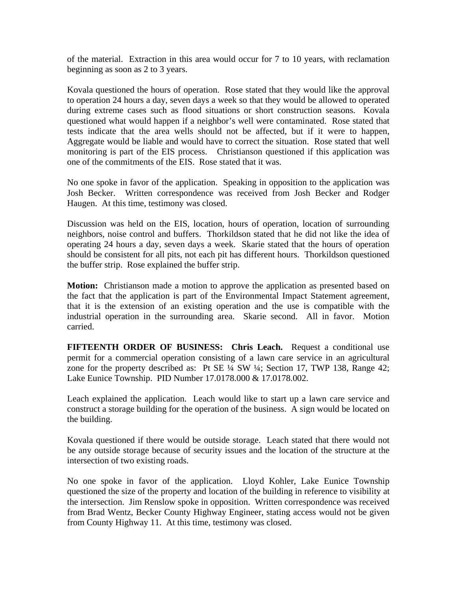of the material. Extraction in this area would occur for 7 to 10 years, with reclamation beginning as soon as 2 to 3 years.

Kovala questioned the hours of operation. Rose stated that they would like the approval to operation 24 hours a day, seven days a week so that they would be allowed to operated during extreme cases such as flood situations or short construction seasons. Kovala questioned what would happen if a neighbor's well were contaminated. Rose stated that tests indicate that the area wells should not be affected, but if it were to happen, Aggregate would be liable and would have to correct the situation. Rose stated that well monitoring is part of the EIS process. Christianson questioned if this application was one of the commitments of the EIS. Rose stated that it was.

No one spoke in favor of the application. Speaking in opposition to the application was Josh Becker. Written correspondence was received from Josh Becker and Rodger Haugen. At this time, testimony was closed.

Discussion was held on the EIS, location, hours of operation, location of surrounding neighbors, noise control and buffers. Thorkildson stated that he did not like the idea of operating 24 hours a day, seven days a week. Skarie stated that the hours of operation should be consistent for all pits, not each pit has different hours. Thorkildson questioned the buffer strip. Rose explained the buffer strip.

**Motion:** Christianson made a motion to approve the application as presented based on the fact that the application is part of the Environmental Impact Statement agreement, that it is the extension of an existing operation and the use is compatible with the industrial operation in the surrounding area. Skarie second. All in favor. Motion carried.

**FIFTEENTH ORDER OF BUSINESS: Chris Leach.** Request a conditional use permit for a commercial operation consisting of a lawn care service in an agricultural zone for the property described as: Pt SE ¼ SW ¼; Section 17, TWP 138, Range 42; Lake Eunice Township. PID Number 17.0178.000 & 17.0178.002.

Leach explained the application. Leach would like to start up a lawn care service and construct a storage building for the operation of the business. A sign would be located on the building.

Kovala questioned if there would be outside storage. Leach stated that there would not be any outside storage because of security issues and the location of the structure at the intersection of two existing roads.

No one spoke in favor of the application. Lloyd Kohler, Lake Eunice Township questioned the size of the property and location of the building in reference to visibility at the intersection. Jim Renslow spoke in opposition. Written correspondence was received from Brad Wentz, Becker County Highway Engineer, stating access would not be given from County Highway 11. At this time, testimony was closed.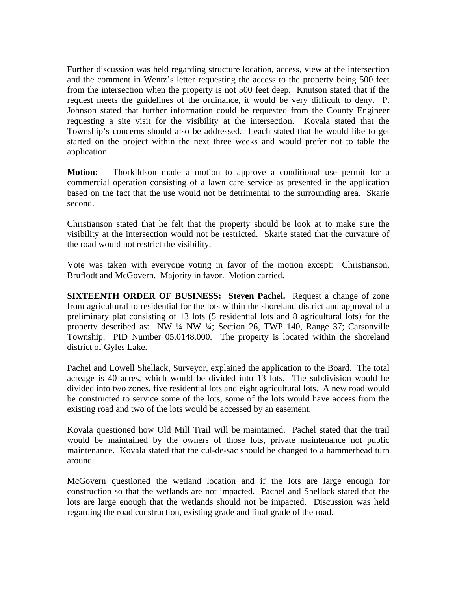Further discussion was held regarding structure location, access, view at the intersection and the comment in Wentz's letter requesting the access to the property being 500 feet from the intersection when the property is not 500 feet deep. Knutson stated that if the request meets the guidelines of the ordinance, it would be very difficult to deny. P. Johnson stated that further information could be requested from the County Engineer requesting a site visit for the visibility at the intersection. Kovala stated that the Township's concerns should also be addressed. Leach stated that he would like to get started on the project within the next three weeks and would prefer not to table the application.

**Motion:** Thorkildson made a motion to approve a conditional use permit for a commercial operation consisting of a lawn care service as presented in the application based on the fact that the use would not be detrimental to the surrounding area. Skarie second.

Christianson stated that he felt that the property should be look at to make sure the visibility at the intersection would not be restricted. Skarie stated that the curvature of the road would not restrict the visibility.

Vote was taken with everyone voting in favor of the motion except: Christianson, Bruflodt and McGovern. Majority in favor. Motion carried.

**SIXTEENTH ORDER OF BUSINESS: Steven Pachel.** Request a change of zone from agricultural to residential for the lots within the shoreland district and approval of a preliminary plat consisting of 13 lots (5 residential lots and 8 agricultural lots) for the property described as: NW ¼ NW ¼; Section 26, TWP 140, Range 37; Carsonville Township. PID Number 05.0148.000. The property is located within the shoreland district of Gyles Lake.

Pachel and Lowell Shellack, Surveyor, explained the application to the Board. The total acreage is 40 acres, which would be divided into 13 lots. The subdivision would be divided into two zones, five residential lots and eight agricultural lots. A new road would be constructed to service some of the lots, some of the lots would have access from the existing road and two of the lots would be accessed by an easement.

Kovala questioned how Old Mill Trail will be maintained. Pachel stated that the trail would be maintained by the owners of those lots, private maintenance not public maintenance. Kovala stated that the cul-de-sac should be changed to a hammerhead turn around.

McGovern questioned the wetland location and if the lots are large enough for construction so that the wetlands are not impacted. Pachel and Shellack stated that the lots are large enough that the wetlands should not be impacted. Discussion was held regarding the road construction, existing grade and final grade of the road.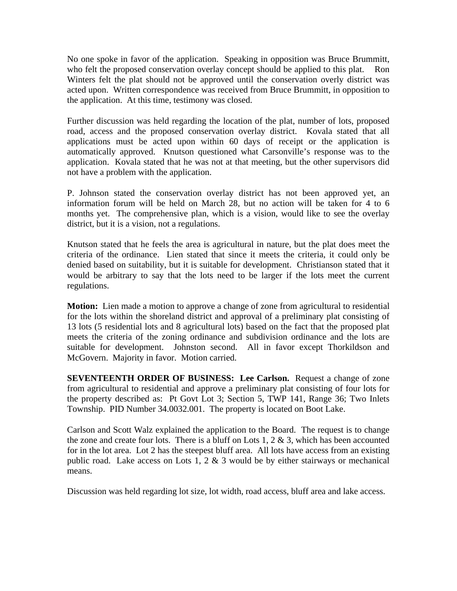No one spoke in favor of the application. Speaking in opposition was Bruce Brummitt, who felt the proposed conservation overlay concept should be applied to this plat. Ron Winters felt the plat should not be approved until the conservation overly district was acted upon. Written correspondence was received from Bruce Brummitt, in opposition to the application. At this time, testimony was closed.

Further discussion was held regarding the location of the plat, number of lots, proposed road, access and the proposed conservation overlay district. Kovala stated that all applications must be acted upon within 60 days of receipt or the application is automatically approved. Knutson questioned what Carsonville's response was to the application. Kovala stated that he was not at that meeting, but the other supervisors did not have a problem with the application.

P. Johnson stated the conservation overlay district has not been approved yet, an information forum will be held on March 28, but no action will be taken for 4 to 6 months yet. The comprehensive plan, which is a vision, would like to see the overlay district, but it is a vision, not a regulations.

Knutson stated that he feels the area is agricultural in nature, but the plat does meet the criteria of the ordinance. Lien stated that since it meets the criteria, it could only be denied based on suitability, but it is suitable for development. Christianson stated that it would be arbitrary to say that the lots need to be larger if the lots meet the current regulations.

**Motion:** Lien made a motion to approve a change of zone from agricultural to residential for the lots within the shoreland district and approval of a preliminary plat consisting of 13 lots (5 residential lots and 8 agricultural lots) based on the fact that the proposed plat meets the criteria of the zoning ordinance and subdivision ordinance and the lots are suitable for development. Johnston second. All in favor except Thorkildson and McGovern. Majority in favor. Motion carried.

**SEVENTEENTH ORDER OF BUSINESS: Lee Carlson.** Request a change of zone from agricultural to residential and approve a preliminary plat consisting of four lots for the property described as: Pt Govt Lot 3; Section 5, TWP 141, Range 36; Two Inlets Township. PID Number 34.0032.001. The property is located on Boot Lake.

Carlson and Scott Walz explained the application to the Board. The request is to change the zone and create four lots. There is a bluff on Lots 1,  $2 \& 3$ , which has been accounted for in the lot area. Lot 2 has the steepest bluff area. All lots have access from an existing public road. Lake access on Lots 1, 2  $\&$  3 would be by either stairways or mechanical means.

Discussion was held regarding lot size, lot width, road access, bluff area and lake access.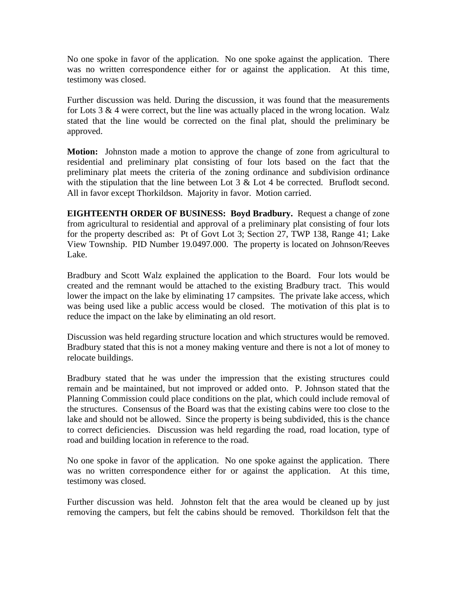No one spoke in favor of the application. No one spoke against the application. There was no written correspondence either for or against the application. At this time, testimony was closed.

Further discussion was held. During the discussion, it was found that the measurements for Lots  $3 \& 4$  were correct, but the line was actually placed in the wrong location. Walz stated that the line would be corrected on the final plat, should the preliminary be approved.

**Motion:** Johnston made a motion to approve the change of zone from agricultural to residential and preliminary plat consisting of four lots based on the fact that the preliminary plat meets the criteria of the zoning ordinance and subdivision ordinance with the stipulation that the line between Lot  $3 \&$  Lot  $4$  be corrected. Bruflodt second. All in favor except Thorkildson. Majority in favor. Motion carried.

**EIGHTEENTH ORDER OF BUSINESS: Boyd Bradbury.** Request a change of zone from agricultural to residential and approval of a preliminary plat consisting of four lots for the property described as: Pt of Govt Lot 3; Section 27, TWP 138, Range 41; Lake View Township. PID Number 19.0497.000. The property is located on Johnson/Reeves Lake.

Bradbury and Scott Walz explained the application to the Board. Four lots would be created and the remnant would be attached to the existing Bradbury tract. This would lower the impact on the lake by eliminating 17 campsites. The private lake access, which was being used like a public access would be closed. The motivation of this plat is to reduce the impact on the lake by eliminating an old resort.

Discussion was held regarding structure location and which structures would be removed. Bradbury stated that this is not a money making venture and there is not a lot of money to relocate buildings.

Bradbury stated that he was under the impression that the existing structures could remain and be maintained, but not improved or added onto. P. Johnson stated that the Planning Commission could place conditions on the plat, which could include removal of the structures. Consensus of the Board was that the existing cabins were too close to the lake and should not be allowed. Since the property is being subdivided, this is the chance to correct deficiencies. Discussion was held regarding the road, road location, type of road and building location in reference to the road.

No one spoke in favor of the application. No one spoke against the application. There was no written correspondence either for or against the application. At this time, testimony was closed.

Further discussion was held. Johnston felt that the area would be cleaned up by just removing the campers, but felt the cabins should be removed. Thorkildson felt that the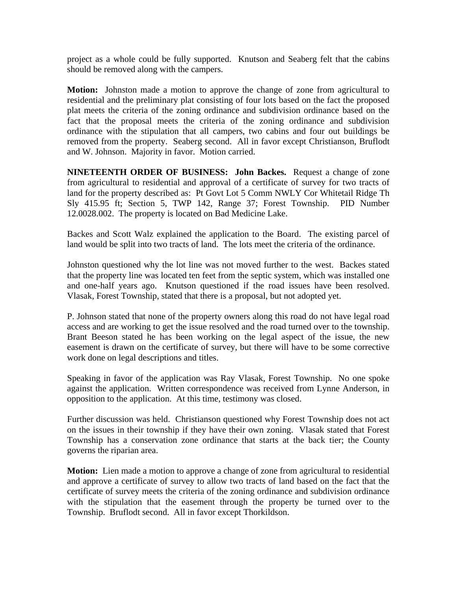project as a whole could be fully supported. Knutson and Seaberg felt that the cabins should be removed along with the campers.

**Motion:** Johnston made a motion to approve the change of zone from agricultural to residential and the preliminary plat consisting of four lots based on the fact the proposed plat meets the criteria of the zoning ordinance and subdivision ordinance based on the fact that the proposal meets the criteria of the zoning ordinance and subdivision ordinance with the stipulation that all campers, two cabins and four out buildings be removed from the property. Seaberg second. All in favor except Christianson, Bruflodt and W. Johnson. Majority in favor. Motion carried.

**NINETEENTH ORDER OF BUSINESS: John Backes.** Request a change of zone from agricultural to residential and approval of a certificate of survey for two tracts of land for the property described as: Pt Govt Lot 5 Comm NWLY Cor Whitetail Ridge Th Sly 415.95 ft; Section 5, TWP 142, Range 37; Forest Township. PID Number 12.0028.002. The property is located on Bad Medicine Lake.

Backes and Scott Walz explained the application to the Board. The existing parcel of land would be split into two tracts of land. The lots meet the criteria of the ordinance.

Johnston questioned why the lot line was not moved further to the west. Backes stated that the property line was located ten feet from the septic system, which was installed one and one-half years ago. Knutson questioned if the road issues have been resolved. Vlasak, Forest Township, stated that there is a proposal, but not adopted yet.

P. Johnson stated that none of the property owners along this road do not have legal road access and are working to get the issue resolved and the road turned over to the township. Brant Beeson stated he has been working on the legal aspect of the issue, the new easement is drawn on the certificate of survey, but there will have to be some corrective work done on legal descriptions and titles.

Speaking in favor of the application was Ray Vlasak, Forest Township. No one spoke against the application. Written correspondence was received from Lynne Anderson, in opposition to the application. At this time, testimony was closed.

Further discussion was held. Christianson questioned why Forest Township does not act on the issues in their township if they have their own zoning. Vlasak stated that Forest Township has a conservation zone ordinance that starts at the back tier; the County governs the riparian area.

**Motion:** Lien made a motion to approve a change of zone from agricultural to residential and approve a certificate of survey to allow two tracts of land based on the fact that the certificate of survey meets the criteria of the zoning ordinance and subdivision ordinance with the stipulation that the easement through the property be turned over to the Township. Bruflodt second. All in favor except Thorkildson.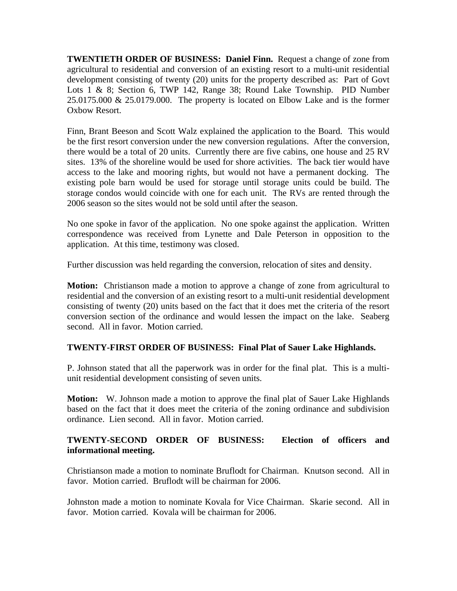**TWENTIETH ORDER OF BUSINESS: Daniel Finn.** Request a change of zone from agricultural to residential and conversion of an existing resort to a multi-unit residential development consisting of twenty (20) units for the property described as: Part of Govt Lots 1 & 8; Section 6, TWP 142, Range 38; Round Lake Township. PID Number  $25.0175.000 \& 25.0179.000$ . The property is located on Elbow Lake and is the former Oxbow Resort.

Finn, Brant Beeson and Scott Walz explained the application to the Board. This would be the first resort conversion under the new conversion regulations. After the conversion, there would be a total of 20 units. Currently there are five cabins, one house and 25 RV sites. 13% of the shoreline would be used for shore activities. The back tier would have access to the lake and mooring rights, but would not have a permanent docking. The existing pole barn would be used for storage until storage units could be build. The storage condos would coincide with one for each unit. The RVs are rented through the 2006 season so the sites would not be sold until after the season.

No one spoke in favor of the application. No one spoke against the application. Written correspondence was received from Lynette and Dale Peterson in opposition to the application. At this time, testimony was closed.

Further discussion was held regarding the conversion, relocation of sites and density.

**Motion:** Christianson made a motion to approve a change of zone from agricultural to residential and the conversion of an existing resort to a multi-unit residential development consisting of twenty (20) units based on the fact that it does met the criteria of the resort conversion section of the ordinance and would lessen the impact on the lake. Seaberg second. All in favor. Motion carried.

## **TWENTY-FIRST ORDER OF BUSINESS: Final Plat of Sauer Lake Highlands.**

P. Johnson stated that all the paperwork was in order for the final plat. This is a multiunit residential development consisting of seven units.

**Motion:** W. Johnson made a motion to approve the final plat of Sauer Lake Highlands based on the fact that it does meet the criteria of the zoning ordinance and subdivision ordinance. Lien second. All in favor. Motion carried.

## **TWENTY-SECOND ORDER OF BUSINESS: Election of officers and informational meeting.**

Christianson made a motion to nominate Bruflodt for Chairman. Knutson second. All in favor. Motion carried. Bruflodt will be chairman for 2006.

Johnston made a motion to nominate Kovala for Vice Chairman. Skarie second. All in favor. Motion carried. Kovala will be chairman for 2006.